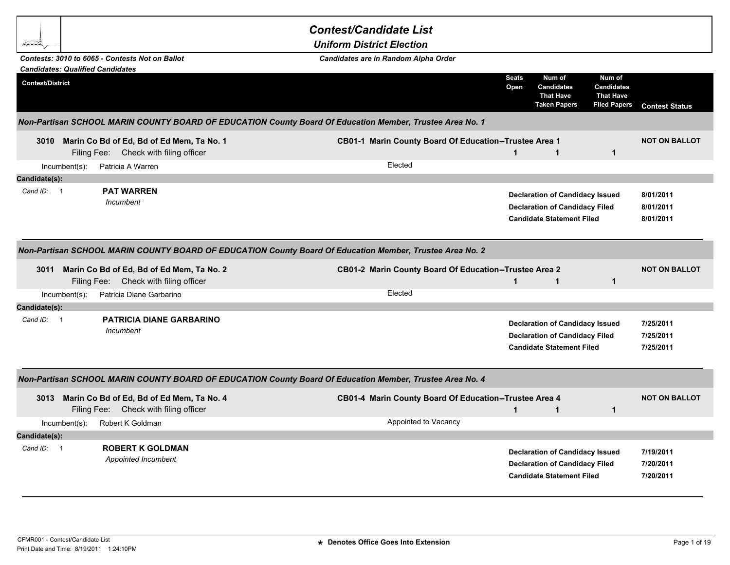|                                                                                                          |                                                                                         | <b>Contest/Candidate List</b>                                                                            |                      |                                                                                                                     |                                                                        |                                     |  |
|----------------------------------------------------------------------------------------------------------|-----------------------------------------------------------------------------------------|----------------------------------------------------------------------------------------------------------|----------------------|---------------------------------------------------------------------------------------------------------------------|------------------------------------------------------------------------|-------------------------------------|--|
|                                                                                                          |                                                                                         | <b>Uniform District Election</b>                                                                         |                      |                                                                                                                     |                                                                        |                                     |  |
|                                                                                                          | Contests: 3010 to 6065 - Contests Not on Ballot                                         | Candidates are in Random Alpha Order                                                                     |                      |                                                                                                                     |                                                                        |                                     |  |
| <b>Candidates: Qualified Candidates</b>                                                                  |                                                                                         |                                                                                                          |                      |                                                                                                                     |                                                                        |                                     |  |
| <b>Contest/District</b>                                                                                  |                                                                                         |                                                                                                          | <b>Seats</b><br>Open | Num of<br><b>Candidates</b><br><b>That Have</b><br><b>Taken Papers</b>                                              | Num of<br><b>Candidates</b><br><b>That Have</b><br><b>Filed Papers</b> | <b>Contest Status</b>               |  |
|                                                                                                          |                                                                                         | Non-Partisan SCHOOL MARIN COUNTY BOARD OF EDUCATION County Board Of Education Member, Trustee Area No. 1 |                      |                                                                                                                     |                                                                        |                                     |  |
|                                                                                                          | 3010 Marin Co Bd of Ed, Bd of Ed Mem, Ta No. 1<br>Filing Fee: Check with filing officer | CB01-1 Marin County Board Of Education--Trustee Area 1                                                   | $\mathbf{1}$         | $\mathbf{1}$                                                                                                        | $\mathbf{1}$                                                           | <b>NOT ON BALLOT</b>                |  |
| $Incumbent(s)$ :                                                                                         | Patricia A Warren                                                                       | Elected                                                                                                  |                      |                                                                                                                     |                                                                        |                                     |  |
| Candidate(s):                                                                                            |                                                                                         |                                                                                                          |                      |                                                                                                                     |                                                                        |                                     |  |
| Cand ID:<br>$\overline{\phantom{0}}$                                                                     | <b>PAT WARREN</b><br>Incumbent                                                          |                                                                                                          |                      | <b>Declaration of Candidacy Issued</b><br><b>Declaration of Candidacy Filed</b><br><b>Candidate Statement Filed</b> |                                                                        | 8/01/2011<br>8/01/2011<br>8/01/2011 |  |
| Non-Partisan SCHOOL MARIN COUNTY BOARD OF EDUCATION County Board Of Education Member, Trustee Area No. 2 |                                                                                         |                                                                                                          |                      |                                                                                                                     |                                                                        |                                     |  |
|                                                                                                          | 3011 Marin Co Bd of Ed, Bd of Ed Mem, Ta No. 2<br>Filing Fee: Check with filing officer | CB01-2 Marin County Board Of Education--Trustee Area 2                                                   | 1                    | $\mathbf{1}$                                                                                                        | $\mathbf{1}$                                                           | <b>NOT ON BALLOT</b>                |  |
| $Incumbent(s)$ :                                                                                         | Patricia Diane Garbarino                                                                | Elected                                                                                                  |                      |                                                                                                                     |                                                                        |                                     |  |
| Candidate(s):                                                                                            |                                                                                         |                                                                                                          |                      |                                                                                                                     |                                                                        |                                     |  |
| Cand ID: 1                                                                                               | <b>PATRICIA DIANE GARBARINO</b><br>Incumbent                                            |                                                                                                          |                      | <b>Declaration of Candidacy Issued</b><br><b>Declaration of Candidacy Filed</b><br><b>Candidate Statement Filed</b> |                                                                        | 7/25/2011<br>7/25/2011<br>7/25/2011 |  |
|                                                                                                          |                                                                                         | Non-Partisan SCHOOL MARIN COUNTY BOARD OF EDUCATION County Board Of Education Member, Trustee Area No. 4 |                      |                                                                                                                     |                                                                        |                                     |  |
|                                                                                                          | 3013 Marin Co Bd of Ed, Bd of Ed Mem, Ta No. 4<br>Filing Fee: Check with filing officer | CB01-4 Marin County Board Of Education--Trustee Area 4                                                   | $\mathbf{1}$         | $\mathbf{1}$                                                                                                        | $\mathbf{1}$                                                           | <b>NOT ON BALLOT</b>                |  |
| $Incumbent(s)$ :                                                                                         | Robert K Goldman                                                                        | Appointed to Vacancy                                                                                     |                      |                                                                                                                     |                                                                        |                                     |  |
| Candidate(s):                                                                                            |                                                                                         |                                                                                                          |                      |                                                                                                                     |                                                                        |                                     |  |
| Cand ID: 1                                                                                               | <b>ROBERT K GOLDMAN</b><br>Appointed Incumbent                                          |                                                                                                          |                      | <b>Declaration of Candidacy Issued</b><br><b>Declaration of Candidacy Filed</b><br><b>Candidate Statement Filed</b> |                                                                        | 7/19/2011<br>7/20/2011<br>7/20/2011 |  |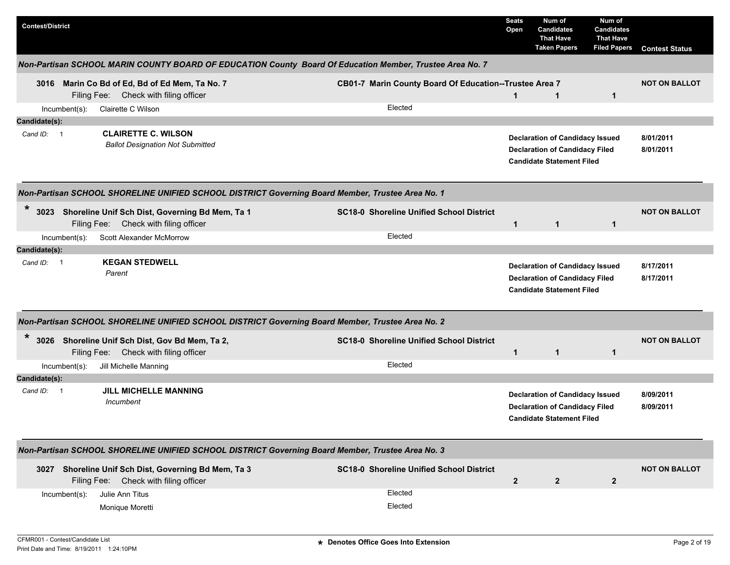| <b>Contest/District</b>                                                                                    |                                                        | <b>Seats</b><br>Open | Num of<br><b>Candidates</b><br><b>That Have</b><br><b>Taken Papers</b>                                              | Num of<br><b>Candidates</b><br><b>That Have</b><br><b>Filed Papers</b> | <b>Contest Status</b>  |  |  |  |  |  |
|------------------------------------------------------------------------------------------------------------|--------------------------------------------------------|----------------------|---------------------------------------------------------------------------------------------------------------------|------------------------------------------------------------------------|------------------------|--|--|--|--|--|
| Non-Partisan SCHOOL MARIN COUNTY BOARD OF EDUCATION County Board Of Education Member, Trustee Area No. 7   |                                                        |                      |                                                                                                                     |                                                                        |                        |  |  |  |  |  |
| 3016 Marin Co Bd of Ed, Bd of Ed Mem, Ta No. 7<br>Filing Fee: Check with filing officer                    | CB01-7 Marin County Board Of Education--Trustee Area 7 | $\mathbf{1}$         | $\mathbf{1}$                                                                                                        | $\mathbf{1}$                                                           | <b>NOT ON BALLOT</b>   |  |  |  |  |  |
| Clairette C Wilson<br>Incumbent(s):                                                                        | Elected                                                |                      |                                                                                                                     |                                                                        |                        |  |  |  |  |  |
| Candidate(s):                                                                                              |                                                        |                      |                                                                                                                     |                                                                        |                        |  |  |  |  |  |
| <b>CLAIRETTE C. WILSON</b><br>Cand ID: 1<br><b>Ballot Designation Not Submitted</b>                        |                                                        |                      | <b>Declaration of Candidacy Issued</b><br><b>Declaration of Candidacy Filed</b><br><b>Candidate Statement Filed</b> |                                                                        | 8/01/2011<br>8/01/2011 |  |  |  |  |  |
| Non-Partisan SCHOOL SHORELINE UNIFIED SCHOOL DISTRICT Governing Board Member, Trustee Area No. 1           |                                                        |                      |                                                                                                                     |                                                                        |                        |  |  |  |  |  |
| $\ast$<br>Shoreline Unif Sch Dist, Governing Bd Mem, Ta 1<br>3023<br>Filing Fee: Check with filing officer | <b>SC18-0 Shoreline Unified School District</b>        | $\mathbf{1}$         | $\mathbf{1}$                                                                                                        | $\mathbf{1}$                                                           | <b>NOT ON BALLOT</b>   |  |  |  |  |  |
| Scott Alexander McMorrow<br>$Incumbent(s)$ :                                                               | Elected                                                |                      |                                                                                                                     |                                                                        |                        |  |  |  |  |  |
| Candidate(s):                                                                                              |                                                        |                      |                                                                                                                     |                                                                        |                        |  |  |  |  |  |
| <b>KEGAN STEDWELL</b><br>Cand ID: 1<br>Parent                                                              |                                                        |                      | <b>Declaration of Candidacy Issued</b>                                                                              |                                                                        | 8/17/2011              |  |  |  |  |  |
|                                                                                                            |                                                        |                      | <b>Declaration of Candidacy Filed</b><br><b>Candidate Statement Filed</b>                                           |                                                                        | 8/17/2011              |  |  |  |  |  |
| Non-Partisan SCHOOL SHORELINE UNIFIED SCHOOL DISTRICT Governing Board Member, Trustee Area No. 2           |                                                        |                      |                                                                                                                     |                                                                        |                        |  |  |  |  |  |
| $\ast$<br>3026 Shoreline Unif Sch Dist, Gov Bd Mem, Ta 2,<br>Filing Fee: Check with filing officer         | <b>SC18-0 Shoreline Unified School District</b>        | $\overline{1}$       | $\mathbf{1}$                                                                                                        | $\mathbf{1}$                                                           | <b>NOT ON BALLOT</b>   |  |  |  |  |  |
| Incumbent(s):<br>Jill Michelle Manning                                                                     | Elected                                                |                      |                                                                                                                     |                                                                        |                        |  |  |  |  |  |
| Candidate(s):                                                                                              |                                                        |                      |                                                                                                                     |                                                                        |                        |  |  |  |  |  |
| <b>JILL MICHELLE MANNING</b><br>Cand ID: 1<br>Incumbent                                                    |                                                        |                      | <b>Declaration of Candidacy Issued</b><br><b>Declaration of Candidacy Filed</b><br><b>Candidate Statement Filed</b> |                                                                        | 8/09/2011<br>8/09/2011 |  |  |  |  |  |
| Non-Partisan SCHOOL SHORELINE UNIFIED SCHOOL DISTRICT Governing Board Member, Trustee Area No. 3           |                                                        |                      |                                                                                                                     |                                                                        |                        |  |  |  |  |  |
| Shoreline Unif Sch Dist, Governing Bd Mem, Ta 3<br>3027<br>Filing Fee: Check with filing officer           | <b>SC18-0 Shoreline Unified School District</b>        | $\overline{2}$       | $\overline{2}$                                                                                                      | $\mathbf{2}$                                                           | <b>NOT ON BALLOT</b>   |  |  |  |  |  |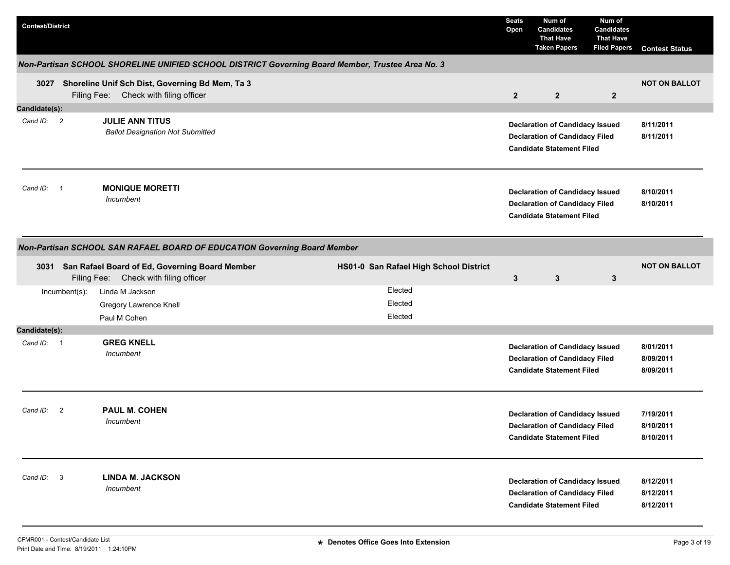| <b>Contest/District</b>                                                  |                                                                                                                                        | <b>Seats</b><br>Open | Num of<br><b>Candidates</b><br><b>That Have</b><br><b>Taken Papers</b>                                              | Num of<br><b>Candidates</b><br><b>That Have</b><br><b>Filed Papers</b> | <b>Contest Status</b>               |  |  |  |  |  |
|--------------------------------------------------------------------------|----------------------------------------------------------------------------------------------------------------------------------------|----------------------|---------------------------------------------------------------------------------------------------------------------|------------------------------------------------------------------------|-------------------------------------|--|--|--|--|--|
|                                                                          | Non-Partisan SCHOOL SHORELINE UNIFIED SCHOOL DISTRICT Governing Board Member, Trustee Area No. 3                                       |                      |                                                                                                                     |                                                                        |                                     |  |  |  |  |  |
|                                                                          | 3027 Shoreline Unif Sch Dist, Governing Bd Mem, Ta 3<br>Filing Fee: Check with filing officer                                          | $\overline{2}$       | $\mathbf{2}$                                                                                                        | $\overline{2}$                                                         | <b>NOT ON BALLOT</b>                |  |  |  |  |  |
| Candidate(s):                                                            |                                                                                                                                        |                      |                                                                                                                     |                                                                        |                                     |  |  |  |  |  |
| Cand ID: 2                                                               | <b>JULIE ANN TITUS</b><br><b>Ballot Designation Not Submitted</b>                                                                      |                      | <b>Declaration of Candidacy Issued</b><br><b>Declaration of Candidacy Filed</b><br><b>Candidate Statement Filed</b> |                                                                        | 8/11/2011<br>8/11/2011              |  |  |  |  |  |
| Cand ID: 1                                                               | <b>MONIQUE MORETTI</b><br>Incumbent                                                                                                    |                      | <b>Declaration of Candidacy Issued</b><br><b>Declaration of Candidacy Filed</b><br><b>Candidate Statement Filed</b> |                                                                        | 8/10/2011<br>8/10/2011              |  |  |  |  |  |
| Non-Partisan SCHOOL SAN RAFAEL BOARD OF EDUCATION Governing Board Member |                                                                                                                                        |                      |                                                                                                                     |                                                                        |                                     |  |  |  |  |  |
|                                                                          | HS01-0 San Rafael High School District<br>3031 San Rafael Board of Ed, Governing Board Member<br>Filing Fee: Check with filing officer | 3                    | 3                                                                                                                   | $\mathbf{3}$                                                           | <b>NOT ON BALLOT</b>                |  |  |  |  |  |
| Incumbent(s):                                                            | Elected<br>Linda M Jackson<br>Elected<br>Gregory Lawrence Knell                                                                        |                      |                                                                                                                     |                                                                        |                                     |  |  |  |  |  |
|                                                                          | Elected<br>Paul M Cohen                                                                                                                |                      |                                                                                                                     |                                                                        |                                     |  |  |  |  |  |
| Candidate(s):                                                            |                                                                                                                                        |                      |                                                                                                                     |                                                                        |                                     |  |  |  |  |  |
| Cand ID: 1                                                               | <b>GREG KNELL</b><br>Incumbent                                                                                                         |                      | <b>Declaration of Candidacy Issued</b><br><b>Declaration of Candidacy Filed</b><br><b>Candidate Statement Filed</b> |                                                                        | 8/01/2011<br>8/09/2011<br>8/09/2011 |  |  |  |  |  |
| Cand ID: 2                                                               | PAUL M. COHEN<br>Incumbent                                                                                                             |                      | <b>Declaration of Candidacy Issued</b><br><b>Declaration of Candidacy Filed</b><br><b>Candidate Statement Filed</b> |                                                                        | 7/19/2011<br>8/10/2011<br>8/10/2011 |  |  |  |  |  |
| $\overline{3}$<br>Cand ID:                                               | <b>LINDA M. JACKSON</b><br>Incumbent                                                                                                   |                      | <b>Declaration of Candidacy Issued</b><br><b>Declaration of Candidacy Filed</b><br><b>Candidate Statement Filed</b> |                                                                        | 8/12/2011<br>8/12/2011<br>8/12/2011 |  |  |  |  |  |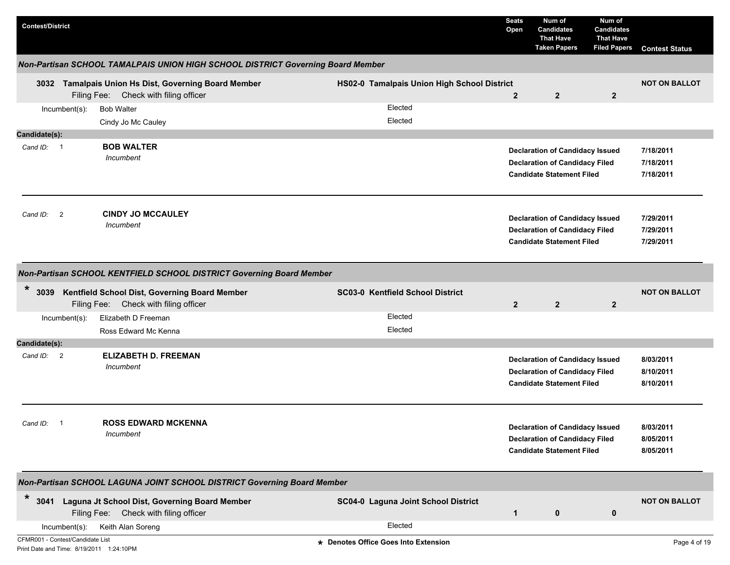| <b>Contest/District</b>                                                      |                                                                                               |                                             | <b>Seats</b><br>Open | Num of<br><b>Candidates</b><br><b>That Have</b><br><b>Taken Papers</b>                                              | Num of<br><b>Candidates</b><br><b>That Have</b><br><b>Filed Papers</b> | <b>Contest Status</b>               |
|------------------------------------------------------------------------------|-----------------------------------------------------------------------------------------------|---------------------------------------------|----------------------|---------------------------------------------------------------------------------------------------------------------|------------------------------------------------------------------------|-------------------------------------|
|                                                                              | Non-Partisan SCHOOL TAMALPAIS UNION HIGH SCHOOL DISTRICT Governing Board Member               |                                             |                      |                                                                                                                     |                                                                        |                                     |
|                                                                              | 3032 Tamalpais Union Hs Dist, Governing Board Member<br>Filing Fee: Check with filing officer | HS02-0 Tamalpais Union High School District | $\overline{2}$       | $\overline{2}$                                                                                                      | $\overline{2}$                                                         | <b>NOT ON BALLOT</b>                |
| Incumbent(s):                                                                | <b>Bob Walter</b><br>Cindy Jo Mc Cauley                                                       | Elected<br>Elected                          |                      |                                                                                                                     |                                                                        |                                     |
| Candidate(s):                                                                |                                                                                               |                                             |                      |                                                                                                                     |                                                                        |                                     |
| Cand ID: 1                                                                   | <b>BOB WALTER</b><br>Incumbent                                                                |                                             |                      | <b>Declaration of Candidacy Issued</b><br><b>Declaration of Candidacy Filed</b><br><b>Candidate Statement Filed</b> |                                                                        | 7/18/2011<br>7/18/2011<br>7/18/2011 |
| $\overline{2}$<br>Cand ID:                                                   | <b>CINDY JO MCCAULEY</b><br>Incumbent                                                         |                                             |                      | <b>Declaration of Candidacy Issued</b><br><b>Declaration of Candidacy Filed</b><br><b>Candidate Statement Filed</b> |                                                                        | 7/29/2011<br>7/29/2011<br>7/29/2011 |
|                                                                              | Non-Partisan SCHOOL KENTFIELD SCHOOL DISTRICT Governing Board Member                          |                                             |                      |                                                                                                                     |                                                                        |                                     |
| $\ast$<br>3039                                                               | Kentfield School Dist, Governing Board Member<br>Filing Fee: Check with filing officer        | SC03-0 Kentfield School District            | $\overline{2}$       | $\overline{2}$                                                                                                      | $\mathbf{2}$                                                           | <b>NOT ON BALLOT</b>                |
| Incumbent(s):                                                                | Elizabeth D Freeman                                                                           | Elected                                     |                      |                                                                                                                     |                                                                        |                                     |
|                                                                              | Ross Edward Mc Kenna                                                                          | Elected                                     |                      |                                                                                                                     |                                                                        |                                     |
| Candidate(s):                                                                |                                                                                               |                                             |                      |                                                                                                                     |                                                                        |                                     |
| Cand ID: 2                                                                   | <b>ELIZABETH D. FREEMAN</b><br>Incumbent                                                      |                                             |                      | <b>Declaration of Candidacy Issued</b><br><b>Declaration of Candidacy Filed</b><br><b>Candidate Statement Filed</b> |                                                                        | 8/03/2011<br>8/10/2011<br>8/10/2011 |
| Cand ID:<br>- 1                                                              | <b>ROSS EDWARD MCKENNA</b><br>Incumbent                                                       |                                             |                      | <b>Declaration of Candidacy Issued</b><br><b>Declaration of Candidacy Filed</b><br><b>Candidate Statement Filed</b> |                                                                        | 8/03/2011<br>8/05/2011<br>8/05/2011 |
|                                                                              | Non-Partisan SCHOOL LAGUNA JOINT SCHOOL DISTRICT Governing Board Member                       |                                             |                      |                                                                                                                     |                                                                        |                                     |
| $\star$                                                                      | 3041 Laguna Jt School Dist, Governing Board Member<br>Filing Fee: Check with filing officer   | SC04-0 Laguna Joint School District         | $\mathbf{1}$         | 0                                                                                                                   | 0                                                                      | <b>NOT ON BALLOT</b>                |
| Incumbent(s):                                                                | Keith Alan Soreng                                                                             | Elected                                     |                      |                                                                                                                     |                                                                        |                                     |
| CFMR001 - Contest/Candidate List<br>Print Date and Time: 8/19/2011 1:24:10PM |                                                                                               | * Denotes Office Goes Into Extension        |                      |                                                                                                                     |                                                                        | Page 4 of 19                        |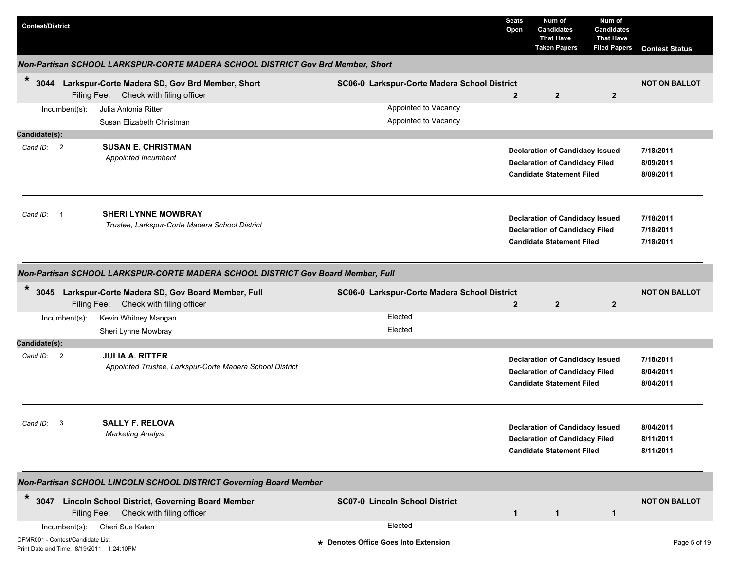| <b>Contest/District</b>                                                      |                                                                                                                  |                                                                      | <b>Seats</b><br>Open | Num of<br><b>Candidates</b><br><b>That Have</b><br><b>Taken Papers</b>                                              | Num of<br><b>Candidates</b><br><b>That Have</b><br><b>Filed Papers</b> | <b>Contest Status</b>               |
|------------------------------------------------------------------------------|------------------------------------------------------------------------------------------------------------------|----------------------------------------------------------------------|----------------------|---------------------------------------------------------------------------------------------------------------------|------------------------------------------------------------------------|-------------------------------------|
|                                                                              | Non-Partisan SCHOOL LARKSPUR-CORTE MADERA SCHOOL DISTRICT Gov Brd Member, Short                                  |                                                                      |                      |                                                                                                                     |                                                                        |                                     |
| $\ast$<br>3044<br>Incumbent(s):                                              | Larkspur-Corte Madera SD, Gov Brd Member, Short<br>Filing Fee: Check with filing officer<br>Julia Antonia Ritter | SC06-0 Larkspur-Corte Madera School District<br>Appointed to Vacancy | $\overline{2}$       | $\overline{2}$                                                                                                      | $\overline{2}$                                                         | <b>NOT ON BALLOT</b>                |
|                                                                              | Susan Elizabeth Christman                                                                                        | Appointed to Vacancy                                                 |                      |                                                                                                                     |                                                                        |                                     |
| Candidate(s):                                                                |                                                                                                                  |                                                                      |                      |                                                                                                                     |                                                                        |                                     |
| Cand $ID: 2$                                                                 | <b>SUSAN E. CHRISTMAN</b><br>Appointed Incumbent                                                                 |                                                                      |                      | <b>Declaration of Candidacy Issued</b><br><b>Declaration of Candidacy Filed</b><br><b>Candidate Statement Filed</b> |                                                                        | 7/18/2011<br>8/09/2011<br>8/09/2011 |
| Cand ID:                                                                     | <b>SHERI LYNNE MOWBRAY</b><br>Trustee, Larkspur-Corte Madera School District                                     |                                                                      |                      | <b>Declaration of Candidacy Issued</b><br><b>Declaration of Candidacy Filed</b><br><b>Candidate Statement Filed</b> |                                                                        | 7/18/2011<br>7/18/2011<br>7/18/2011 |
|                                                                              | Non-Partisan SCHOOL LARKSPUR-CORTE MADERA SCHOOL DISTRICT Gov Board Member, Full                                 |                                                                      |                      |                                                                                                                     |                                                                        |                                     |
| $\ast$<br>3045                                                               | Larkspur-Corte Madera SD, Gov Board Member, Full<br>Filing Fee: Check with filing officer                        | SC06-0 Larkspur-Corte Madera School District                         | $\mathbf{2}$         | $\mathbf{2}$                                                                                                        | $\mathbf{2}$                                                           | <b>NOT ON BALLOT</b>                |
| $Incumbent(s)$ :                                                             | Kevin Whitney Mangan                                                                                             | Elected                                                              |                      |                                                                                                                     |                                                                        |                                     |
|                                                                              | Sheri Lynne Mowbray                                                                                              | Elected                                                              |                      |                                                                                                                     |                                                                        |                                     |
| Candidate(s):                                                                |                                                                                                                  |                                                                      |                      |                                                                                                                     |                                                                        |                                     |
| Cand ID: 2                                                                   | <b>JULIA A. RITTER</b><br>Appointed Trustee, Larkspur-Corte Madera School District                               |                                                                      |                      | <b>Declaration of Candidacy Issued</b><br><b>Declaration of Candidacy Filed</b><br><b>Candidate Statement Filed</b> |                                                                        | 7/18/2011<br>8/04/2011<br>8/04/2011 |
| Cand ID: 3                                                                   | <b>SALLY F. RELOVA</b><br><b>Marketing Analyst</b>                                                               |                                                                      |                      | <b>Declaration of Candidacy Issued</b><br><b>Declaration of Candidacy Filed</b><br><b>Candidate Statement Filed</b> |                                                                        | 8/04/2011<br>8/11/2011<br>8/11/2011 |
|                                                                              | Non-Partisan SCHOOL LINCOLN SCHOOL DISTRICT Governing Board Member                                               |                                                                      |                      |                                                                                                                     |                                                                        |                                     |
| $\star$                                                                      | 3047 Lincoln School District, Governing Board Member<br>Filing Fee: Check with filing officer                    | SC07-0 Lincoln School District                                       | $\mathbf{1}$         | $\mathbf 1$                                                                                                         | $\mathbf{1}$                                                           | <b>NOT ON BALLOT</b>                |
| $Incumbent(s)$ :                                                             | Cheri Sue Katen                                                                                                  | Elected                                                              |                      |                                                                                                                     |                                                                        |                                     |
| CFMR001 - Contest/Candidate List<br>Print Date and Time: 8/19/2011 1:24:10PM |                                                                                                                  | * Denotes Office Goes Into Extension                                 |                      |                                                                                                                     |                                                                        | Page 5 of 19                        |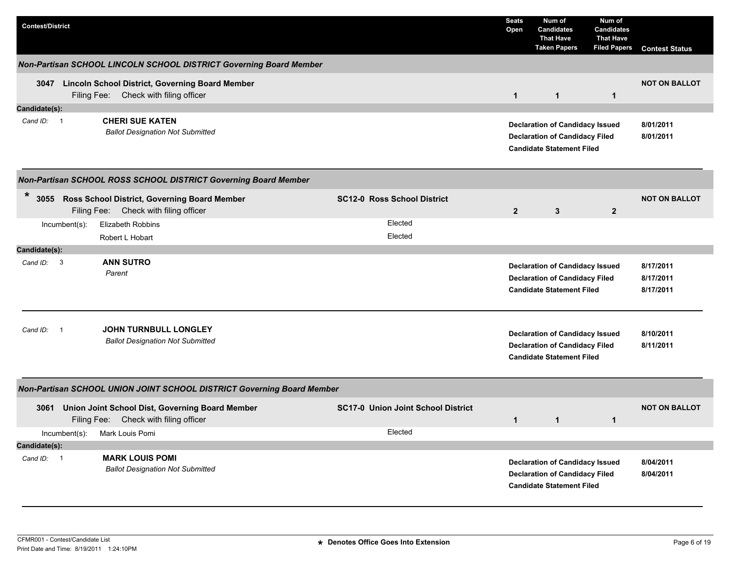| <b>Contest/District</b>                                         |                                                                                                                                                                                      |                                           | <b>Seats</b><br>Open                                                                                                | Num of<br><b>Candidates</b><br><b>That Have</b><br><b>Taken Papers</b>                                              | Num of<br><b>Candidates</b><br><b>That Have</b><br><b>Filed Papers</b> | <b>Contest Status</b>               |  |  |  |  |
|-----------------------------------------------------------------|--------------------------------------------------------------------------------------------------------------------------------------------------------------------------------------|-------------------------------------------|---------------------------------------------------------------------------------------------------------------------|---------------------------------------------------------------------------------------------------------------------|------------------------------------------------------------------------|-------------------------------------|--|--|--|--|
|                                                                 | Non-Partisan SCHOOL LINCOLN SCHOOL DISTRICT Governing Board Member                                                                                                                   |                                           |                                                                                                                     |                                                                                                                     |                                                                        |                                     |  |  |  |  |
|                                                                 | 3047 Lincoln School District, Governing Board Member<br>Filing Fee: Check with filing officer                                                                                        |                                           | $\mathbf{1}$                                                                                                        | $\mathbf{1}$                                                                                                        | $\mathbf{1}$                                                           | <b>NOT ON BALLOT</b>                |  |  |  |  |
| Candidate(s):                                                   |                                                                                                                                                                                      |                                           |                                                                                                                     |                                                                                                                     |                                                                        |                                     |  |  |  |  |
| Cand ID: 1                                                      | <b>CHERI SUE KATEN</b><br><b>Ballot Designation Not Submitted</b>                                                                                                                    |                                           | <b>Declaration of Candidacy Issued</b><br><b>Declaration of Candidacy Filed</b><br><b>Candidate Statement Filed</b> | 8/01/2011<br>8/01/2011                                                                                              |                                                                        |                                     |  |  |  |  |
| Non-Partisan SCHOOL ROSS SCHOOL DISTRICT Governing Board Member |                                                                                                                                                                                      |                                           |                                                                                                                     |                                                                                                                     |                                                                        |                                     |  |  |  |  |
| $\ast$                                                          | 3055 Ross School District, Governing Board Member<br><b>SC12-0 Ross School District</b><br>Filing Fee: Check with filing officer<br>2 <sup>2</sup><br>$\mathbf{3}$<br>$\overline{2}$ |                                           |                                                                                                                     |                                                                                                                     |                                                                        |                                     |  |  |  |  |
| Incumbent(s):                                                   | <b>Elizabeth Robbins</b><br>Robert L Hobart                                                                                                                                          | Elected<br>Elected                        |                                                                                                                     |                                                                                                                     |                                                                        |                                     |  |  |  |  |
| Candidate(s):                                                   |                                                                                                                                                                                      |                                           |                                                                                                                     |                                                                                                                     |                                                                        |                                     |  |  |  |  |
| Cand ID: 3                                                      | <b>ANN SUTRO</b><br>Parent                                                                                                                                                           |                                           |                                                                                                                     | <b>Declaration of Candidacy Issued</b><br><b>Declaration of Candidacy Filed</b><br><b>Candidate Statement Filed</b> |                                                                        | 8/17/2011<br>8/17/2011<br>8/17/2011 |  |  |  |  |
| Cand ID:<br>$\overline{\phantom{1}}$                            | <b>JOHN TURNBULL LONGLEY</b><br><b>Ballot Designation Not Submitted</b>                                                                                                              |                                           |                                                                                                                     | <b>Declaration of Candidacy Issued</b><br><b>Declaration of Candidacy Filed</b><br><b>Candidate Statement Filed</b> |                                                                        | 8/10/2011<br>8/11/2011              |  |  |  |  |
|                                                                 | <b>Non-Partisan SCHOOL UNION JOINT SCHOOL DISTRICT Governing Board Member</b>                                                                                                        |                                           |                                                                                                                     |                                                                                                                     |                                                                        |                                     |  |  |  |  |
|                                                                 | 3061 Union Joint School Dist, Governing Board Member<br>Filing Fee: Check with filing officer                                                                                        | <b>SC17-0 Union Joint School District</b> | $\mathbf{1}$                                                                                                        | $\mathbf{1}$                                                                                                        | $\mathbf{1}$                                                           | <b>NOT ON BALLOT</b>                |  |  |  |  |
| Incumbent(s):                                                   | Mark Louis Pomi                                                                                                                                                                      | Elected                                   |                                                                                                                     |                                                                                                                     |                                                                        |                                     |  |  |  |  |
| Candidate(s):                                                   |                                                                                                                                                                                      |                                           |                                                                                                                     |                                                                                                                     |                                                                        |                                     |  |  |  |  |
| Cand ID: 1                                                      | <b>MARK LOUIS POMI</b><br><b>Ballot Designation Not Submitted</b>                                                                                                                    |                                           |                                                                                                                     | <b>Declaration of Candidacy Issued</b><br><b>Declaration of Candidacy Filed</b><br><b>Candidate Statement Filed</b> |                                                                        | 8/04/2011<br>8/04/2011              |  |  |  |  |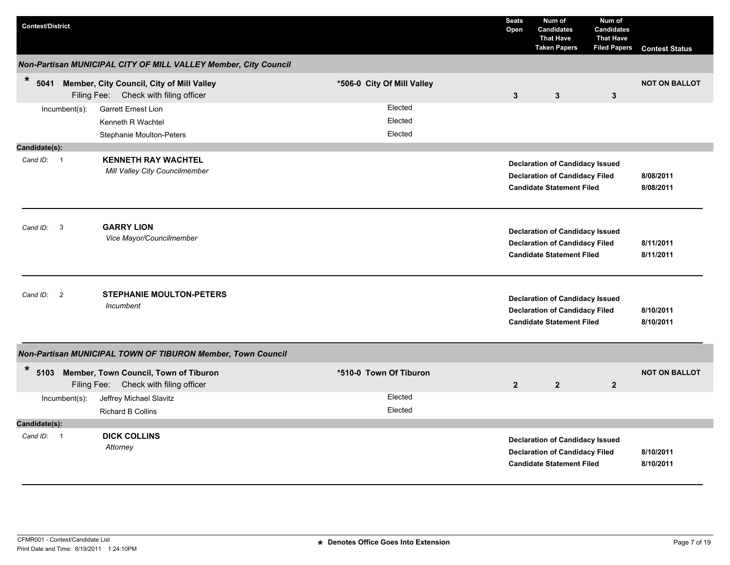| <b>Contest/District</b>                |                                                                                     |                               | <b>Seats</b><br>Open                                                                                                | Num of<br><b>Candidates</b><br><b>That Have</b><br><b>Taken Papers</b>                                              | Num of<br><b>Candidates</b><br><b>That Have</b><br><b>Filed Papers</b> | <b>Contest Status</b>  |
|----------------------------------------|-------------------------------------------------------------------------------------|-------------------------------|---------------------------------------------------------------------------------------------------------------------|---------------------------------------------------------------------------------------------------------------------|------------------------------------------------------------------------|------------------------|
|                                        | Non-Partisan MUNICIPAL CITY OF MILL VALLEY Member, City Council                     |                               |                                                                                                                     |                                                                                                                     |                                                                        |                        |
| $\ast$<br>5041                         | Member, City Council, City of Mill Valley<br>Filing Fee: Check with filing officer  | *506-0 City Of Mill Valley    | 3                                                                                                                   | 3                                                                                                                   | $\mathbf{3}$                                                           | <b>NOT ON BALLOT</b>   |
| Incumbent(s):                          | <b>Garrett Ernest Lion</b><br>Kenneth R Wachtel<br>Stephanie Moulton-Peters         | Elected<br>Elected<br>Elected |                                                                                                                     |                                                                                                                     |                                                                        |                        |
| Candidate(s):                          |                                                                                     |                               |                                                                                                                     |                                                                                                                     |                                                                        |                        |
| Cand ID: 1                             | <b>KENNETH RAY WACHTEL</b><br>Mill Valley City Councilmember                        |                               | <b>Declaration of Candidacy Issued</b><br><b>Declaration of Candidacy Filed</b><br><b>Candidate Statement Filed</b> | 8/08/2011<br>8/08/2011                                                                                              |                                                                        |                        |
| $\overline{\mathbf{3}}$<br>Cand ID:    | <b>GARRY LION</b><br>Vice Mayor/Councilmember                                       |                               |                                                                                                                     | <b>Declaration of Candidacy Issued</b><br><b>Declaration of Candidacy Filed</b><br><b>Candidate Statement Filed</b> |                                                                        | 8/11/2011<br>8/11/2011 |
| Cand ID:<br>$\overline{\phantom{0}}^2$ | <b>STEPHANIE MOULTON-PETERS</b><br>Incumbent                                        |                               |                                                                                                                     | <b>Declaration of Candidacy Issued</b><br><b>Declaration of Candidacy Filed</b><br><b>Candidate Statement Filed</b> |                                                                        | 8/10/2011<br>8/10/2011 |
|                                        | Non-Partisan MUNICIPAL TOWN OF TIBURON Member, Town Council                         |                               |                                                                                                                     |                                                                                                                     |                                                                        |                        |
| *                                      | 5103 Member, Town Council, Town of Tiburon<br>Filing Fee: Check with filing officer | *510-0 Town Of Tiburon        | $\overline{2}$                                                                                                      | $\overline{2}$                                                                                                      | $\mathbf{2}$                                                           | <b>NOT ON BALLOT</b>   |
| $Incumbent(s)$ :                       | Jeffrey Michael Slavitz                                                             | Elected                       |                                                                                                                     |                                                                                                                     |                                                                        |                        |
|                                        | <b>Richard B Collins</b>                                                            | Elected                       |                                                                                                                     |                                                                                                                     |                                                                        |                        |
| Candidate(s):                          |                                                                                     |                               |                                                                                                                     |                                                                                                                     |                                                                        |                        |
| Cand ID: 1                             | <b>DICK COLLINS</b><br>Attorney                                                     |                               |                                                                                                                     | <b>Declaration of Candidacy Issued</b><br><b>Declaration of Candidacy Filed</b><br><b>Candidate Statement Filed</b> |                                                                        | 8/10/2011<br>8/10/2011 |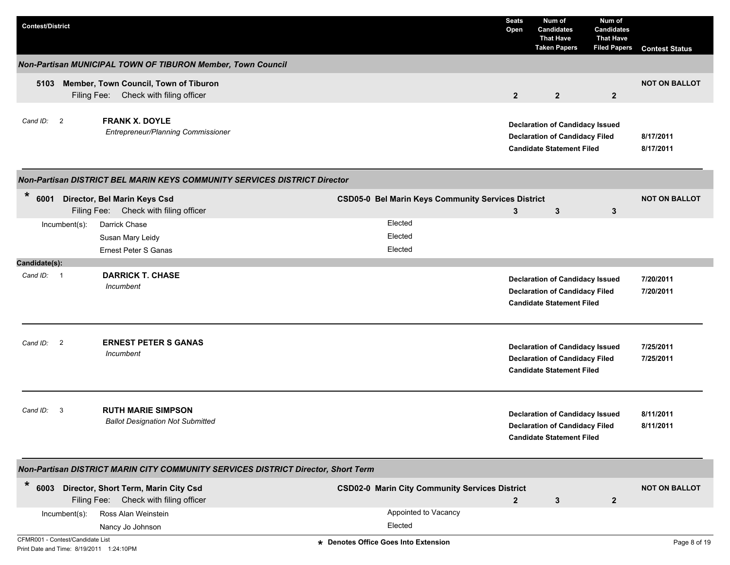| <b>Contest/District</b>                                                                      |                                                           | <b>Seats</b><br>Open | Num of<br><b>Candidates</b><br><b>That Have</b><br><b>Taken Papers</b>                                              | Num of<br><b>Candidates</b><br><b>That Have</b><br><b>Filed Papers</b> | <b>Contest Status</b>  |
|----------------------------------------------------------------------------------------------|-----------------------------------------------------------|----------------------|---------------------------------------------------------------------------------------------------------------------|------------------------------------------------------------------------|------------------------|
| Non-Partisan MUNICIPAL TOWN OF TIBURON Member, Town Council                                  |                                                           |                      |                                                                                                                     |                                                                        |                        |
| Member, Town Council, Town of Tiburon<br>5103<br>Filing Fee: Check with filing officer       |                                                           | $\overline{2}$       | $\overline{2}$                                                                                                      | $\overline{2}$                                                         | <b>NOT ON BALLOT</b>   |
| <b>FRANK X. DOYLE</b><br>Cand ID: 2<br>Entrepreneur/Planning Commissioner                    |                                                           |                      | <b>Declaration of Candidacy Issued</b><br><b>Declaration of Candidacy Filed</b><br><b>Candidate Statement Filed</b> |                                                                        | 8/17/2011<br>8/17/2011 |
| Non-Partisan DISTRICT BEL MARIN KEYS COMMUNITY SERVICES DISTRICT Director                    |                                                           |                      |                                                                                                                     |                                                                        |                        |
| $\ast$<br>6001<br>Director, Bel Marin Keys Csd<br>Filing Fee: Check with filing officer      | <b>CSD05-0 Bel Marin Keys Community Services District</b> | 3                    | 3                                                                                                                   | $\mathbf{3}$                                                           | <b>NOT ON BALLOT</b>   |
| Darrick Chase<br>$Incumbent(s)$ :<br>Susan Mary Leidy                                        | Elected<br>Elected<br>Elected                             |                      |                                                                                                                     |                                                                        |                        |
| Ernest Peter S Ganas<br>Candidate(s):                                                        |                                                           |                      |                                                                                                                     |                                                                        |                        |
| <b>DARRICK T. CHASE</b><br>Cand ID: 1<br>Incumbent                                           |                                                           |                      | <b>Declaration of Candidacy Issued</b><br><b>Declaration of Candidacy Filed</b><br><b>Candidate Statement Filed</b> |                                                                        | 7/20/2011<br>7/20/2011 |
| <b>ERNEST PETER S GANAS</b><br>Cand ID: 2<br>Incumbent                                       |                                                           |                      | <b>Declaration of Candidacy Issued</b><br><b>Declaration of Candidacy Filed</b><br><b>Candidate Statement Filed</b> |                                                                        | 7/25/2011<br>7/25/2011 |
| <b>RUTH MARIE SIMPSON</b><br>Cand ID:<br>-3<br><b>Ballot Designation Not Submitted</b>       |                                                           |                      | <b>Declaration of Candidacy Issued</b><br><b>Declaration of Candidacy Filed</b><br><b>Candidate Statement Filed</b> |                                                                        | 8/11/2011<br>8/11/2011 |
| Non-Partisan DISTRICT MARIN CITY COMMUNITY SERVICES DISTRICT Director, Short Term            |                                                           |                      |                                                                                                                     |                                                                        |                        |
| $\ast$<br>6003 Director, Short Term, Marin City Csd<br>Filing Fee: Check with filing officer | <b>CSD02-0 Marin City Community Services District</b>     | $\overline{2}$       | 3                                                                                                                   | $\mathbf{2}$                                                           | <b>NOT ON BALLOT</b>   |
| Ross Alan Weinstein<br>Incumbent(s):<br>Nancy Jo Johnson                                     | Appointed to Vacancy<br>Elected                           |                      |                                                                                                                     |                                                                        |                        |
| CFMR001 - Contest/Candidate List<br>Print Date and Time: 8/19/2011 1:24:10PM                 | * Denotes Office Goes Into Extension                      |                      |                                                                                                                     |                                                                        | Page 8 of 19           |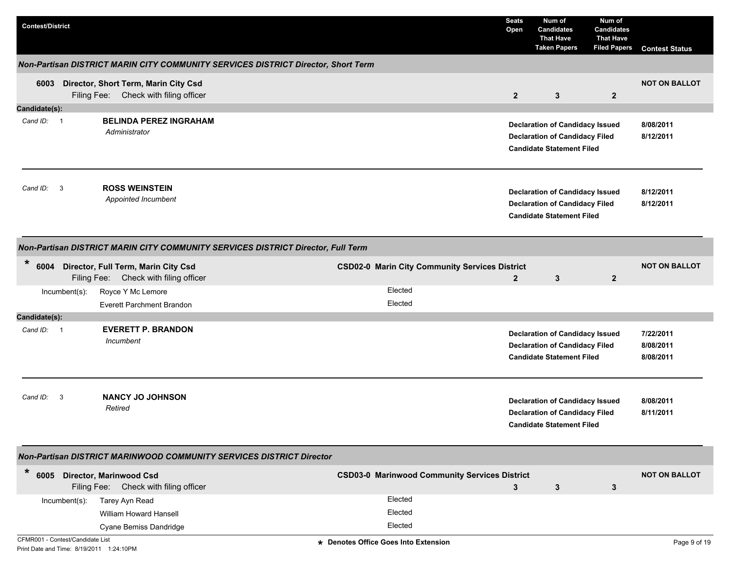| <b>Contest/District</b> |                         |                                                                                    |                                                       | <b>Seats</b><br>Open | Num of<br><b>Candidates</b><br><b>That Have</b><br><b>Taken Papers</b>                                              | Num of<br><b>Candidates</b><br><b>That Have</b><br><b>Filed Papers</b> | <b>Contest Status</b>               |
|-------------------------|-------------------------|------------------------------------------------------------------------------------|-------------------------------------------------------|----------------------|---------------------------------------------------------------------------------------------------------------------|------------------------------------------------------------------------|-------------------------------------|
|                         |                         | Non-Partisan DISTRICT MARIN CITY COMMUNITY SERVICES DISTRICT Director, Short Term  |                                                       |                      |                                                                                                                     |                                                                        |                                     |
|                         |                         | 6003 Director, Short Term, Marin City Csd<br>Filing Fee: Check with filing officer |                                                       | $\overline{2}$       | 3                                                                                                                   | $\overline{2}$                                                         | <b>NOT ON BALLOT</b>                |
| Candidate(s):           |                         |                                                                                    |                                                       |                      |                                                                                                                     |                                                                        |                                     |
| Cand ID: 1              |                         | <b>BELINDA PEREZ INGRAHAM</b><br>Administrator                                     |                                                       |                      | <b>Declaration of Candidacy Issued</b><br><b>Declaration of Candidacy Filed</b><br><b>Candidate Statement Filed</b> |                                                                        | 8/08/2011<br>8/12/2011              |
| Cand ID:                | 3                       | <b>ROSS WEINSTEIN</b><br>Appointed Incumbent                                       |                                                       |                      | <b>Declaration of Candidacy Issued</b><br><b>Declaration of Candidacy Filed</b><br><b>Candidate Statement Filed</b> |                                                                        | 8/12/2011<br>8/12/2011              |
|                         |                         | Non-Partisan DISTRICT MARIN CITY COMMUNITY SERVICES DISTRICT Director, Full Term   |                                                       |                      |                                                                                                                     |                                                                        |                                     |
| $\ast$                  |                         | 6004 Director, Full Term, Marin City Csd<br>Filing Fee: Check with filing officer  | <b>CSD02-0 Marin City Community Services District</b> | $\mathbf{2}$         | 3                                                                                                                   | $\overline{2}$                                                         | <b>NOT ON BALLOT</b>                |
|                         | Incumbent(s):           | Royce Y Mc Lemore                                                                  | Elected                                               |                      |                                                                                                                     |                                                                        |                                     |
|                         |                         | <b>Everett Parchment Brandon</b>                                                   | Elected                                               |                      |                                                                                                                     |                                                                        |                                     |
| Candidate(s):           |                         |                                                                                    |                                                       |                      |                                                                                                                     |                                                                        |                                     |
| Cand ID: 1              |                         | <b>EVERETT P. BRANDON</b><br>Incumbent                                             |                                                       |                      | <b>Declaration of Candidacy Issued</b><br><b>Declaration of Candidacy Filed</b><br><b>Candidate Statement Filed</b> |                                                                        | 7/22/2011<br>8/08/2011<br>8/08/2011 |
| Cand ID:                | $\overline{\mathbf{3}}$ | <b>NANCY JO JOHNSON</b><br>Retired                                                 |                                                       |                      | <b>Declaration of Candidacy Issued</b><br><b>Declaration of Candidacy Filed</b><br><b>Candidate Statement Filed</b> |                                                                        | 8/08/2011<br>8/11/2011              |
|                         |                         | Non-Partisan DISTRICT MARINWOOD COMMUNITY SERVICES DISTRICT Director               |                                                       |                      |                                                                                                                     |                                                                        |                                     |
| $\ast$                  |                         | 6005 Director, Marinwood Csd<br>Filing Fee: Check with filing officer              | <b>CSD03-0 Marinwood Community Services District</b>  | 3                    | $\mathbf{3}$                                                                                                        | 3                                                                      | <b>NOT ON BALLOT</b>                |
|                         | Incumbent(s):           | Tarey Ayn Read                                                                     | Elected                                               |                      |                                                                                                                     |                                                                        |                                     |
|                         |                         | William Howard Hansell                                                             | Elected                                               |                      |                                                                                                                     |                                                                        |                                     |
|                         |                         | Cyane Bemiss Dandridge                                                             | Elected                                               |                      |                                                                                                                     |                                                                        |                                     |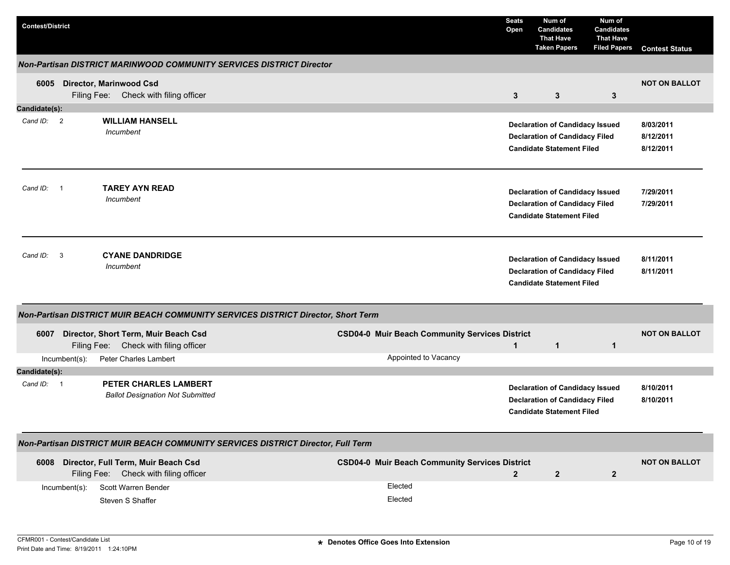| <b>Contest/District</b>              |               |                                                                                   |  |                                                       | <b>Seats</b><br>Open | Num of<br><b>Candidates</b><br><b>That Have</b><br><b>Taken Papers</b>                                              | Num of<br><b>Candidates</b><br><b>That Have</b><br><b>Filed Papers</b> | <b>Contest Status</b>               |
|--------------------------------------|---------------|-----------------------------------------------------------------------------------|--|-------------------------------------------------------|----------------------|---------------------------------------------------------------------------------------------------------------------|------------------------------------------------------------------------|-------------------------------------|
|                                      |               | Non-Partisan DISTRICT MARINWOOD COMMUNITY SERVICES DISTRICT Director              |  |                                                       |                      |                                                                                                                     |                                                                        |                                     |
| 6005                                 |               | <b>Director, Marinwood Csd</b><br>Filing Fee: Check with filing officer           |  |                                                       | 3                    | 3                                                                                                                   | 3                                                                      | <b>NOT ON BALLOT</b>                |
| Candidate(s):                        |               |                                                                                   |  |                                                       |                      |                                                                                                                     |                                                                        |                                     |
| Cand ID: 2                           |               | <b>WILLIAM HANSELL</b><br>Incumbent                                               |  |                                                       |                      | <b>Declaration of Candidacy Issued</b><br><b>Declaration of Candidacy Filed</b><br><b>Candidate Statement Filed</b> |                                                                        | 8/03/2011<br>8/12/2011<br>8/12/2011 |
| Cand ID:<br>$\overline{\phantom{0}}$ |               | <b>TAREY AYN READ</b><br>Incumbent                                                |  |                                                       |                      | <b>Declaration of Candidacy Issued</b><br><b>Declaration of Candidacy Filed</b><br><b>Candidate Statement Filed</b> |                                                                        | 7/29/2011<br>7/29/2011              |
| Cand ID:                             | $\mathbf{3}$  | <b>CYANE DANDRIDGE</b><br>Incumbent                                               |  |                                                       |                      | <b>Declaration of Candidacy Issued</b><br><b>Declaration of Candidacy Filed</b><br><b>Candidate Statement Filed</b> |                                                                        | 8/11/2011<br>8/11/2011              |
|                                      |               | Non-Partisan DISTRICT MUIR BEACH COMMUNITY SERVICES DISTRICT Director, Short Term |  |                                                       |                      |                                                                                                                     |                                                                        |                                     |
| 6007                                 |               | Director, Short Term, Muir Beach Csd<br>Filing Fee: Check with filing officer     |  | <b>CSD04-0 Muir Beach Community Services District</b> | $\overline{1}$       | $\mathbf{1}$                                                                                                        | 1                                                                      | <b>NOT ON BALLOT</b>                |
|                                      | Incumbent(s): | Peter Charles Lambert                                                             |  | Appointed to Vacancy                                  |                      |                                                                                                                     |                                                                        |                                     |
| Candidate(s):                        |               |                                                                                   |  |                                                       |                      |                                                                                                                     |                                                                        |                                     |
| Cand ID: 1                           |               | PETER CHARLES LAMBERT<br><b>Ballot Designation Not Submitted</b>                  |  |                                                       |                      | <b>Declaration of Candidacy Issued</b><br><b>Declaration of Candidacy Filed</b><br><b>Candidate Statement Filed</b> |                                                                        | 8/10/2011<br>8/10/2011              |
|                                      |               | Non-Partisan DISTRICT MUIR BEACH COMMUNITY SERVICES DISTRICT Director, Full Term  |  |                                                       |                      |                                                                                                                     |                                                                        |                                     |
| 6008                                 |               | Director, Full Term, Muir Beach Csd<br>Filing Fee: Check with filing officer      |  | <b>CSD04-0 Muir Beach Community Services District</b> | $\overline{2}$       | $\overline{2}$                                                                                                      | $\mathbf 2$                                                            | <b>NOT ON BALLOT</b>                |
|                                      | Incumbent(s): | Scott Warren Bender<br>Steven S Shaffer                                           |  | Elected<br>Elected                                    |                      |                                                                                                                     |                                                                        |                                     |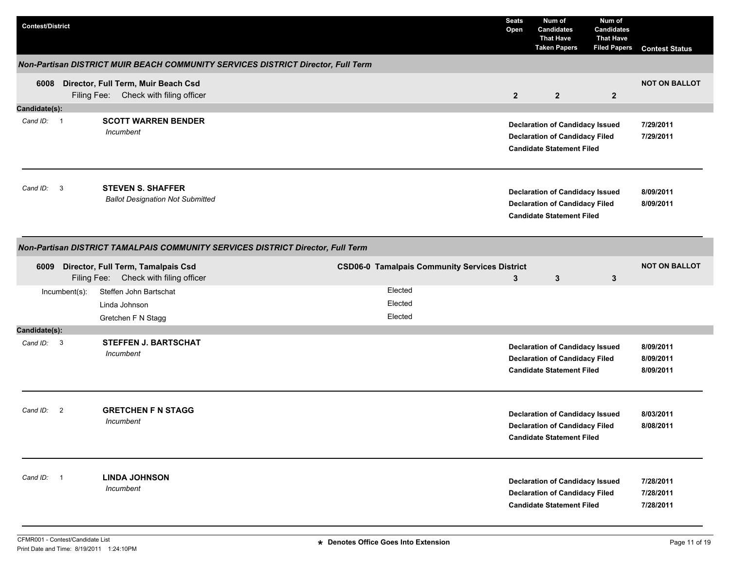| <b>Contest/District</b>                                                         |                |                                                                                   |  |                                                      | <b>Seats</b><br>Open | Num of<br><b>Candidates</b><br><b>That Have</b><br><b>Taken Papers</b>                                              | Num of<br><b>Candidates</b><br><b>That Have</b><br><b>Filed Papers</b> | <b>Contest Status</b>               |  |
|---------------------------------------------------------------------------------|----------------|-----------------------------------------------------------------------------------|--|------------------------------------------------------|----------------------|---------------------------------------------------------------------------------------------------------------------|------------------------------------------------------------------------|-------------------------------------|--|
|                                                                                 |                | Non-Partisan DISTRICT MUIR BEACH COMMUNITY SERVICES DISTRICT Director, Full Term  |  |                                                      |                      |                                                                                                                     |                                                                        |                                     |  |
|                                                                                 |                | 6008 Director, Full Term, Muir Beach Csd<br>Filing Fee: Check with filing officer |  |                                                      | $\overline{2}$       | $\overline{2}$                                                                                                      | $\overline{2}$                                                         | <b>NOT ON BALLOT</b>                |  |
| Candidate(s):                                                                   |                |                                                                                   |  |                                                      |                      |                                                                                                                     |                                                                        |                                     |  |
| Cand ID: 1                                                                      |                | <b>SCOTT WARREN BENDER</b><br>Incumbent                                           |  |                                                      |                      | <b>Declaration of Candidacy Issued</b><br><b>Declaration of Candidacy Filed</b><br><b>Candidate Statement Filed</b> |                                                                        | 7/29/2011<br>7/29/2011              |  |
| Cand ID: 3                                                                      |                | <b>STEVEN S. SHAFFER</b><br><b>Ballot Designation Not Submitted</b>               |  |                                                      |                      | <b>Declaration of Candidacy Issued</b><br><b>Declaration of Candidacy Filed</b><br><b>Candidate Statement Filed</b> |                                                                        | 8/09/2011<br>8/09/2011              |  |
| Non-Partisan DISTRICT TAMALPAIS COMMUNITY SERVICES DISTRICT Director, Full Term |                |                                                                                   |  |                                                      |                      |                                                                                                                     |                                                                        |                                     |  |
| 6009                                                                            |                | Director, Full Term, Tamalpais Csd<br>Filing Fee: Check with filing officer       |  | <b>CSD06-0 Tamalpais Community Services District</b> | 3                    | $\mathbf{3}$                                                                                                        | $\mathbf{3}$                                                           | <b>NOT ON BALLOT</b>                |  |
|                                                                                 | Incumbent(s):  | Steffen John Bartschat<br>Linda Johnson<br>Gretchen F N Stagg                     |  | Elected<br>Elected<br>Elected                        |                      |                                                                                                                     |                                                                        |                                     |  |
| Candidate(s):                                                                   |                |                                                                                   |  |                                                      |                      |                                                                                                                     |                                                                        |                                     |  |
| Cand ID: 3                                                                      |                | <b>STEFFEN J. BARTSCHAT</b><br>Incumbent                                          |  |                                                      |                      | <b>Declaration of Candidacy Issued</b><br><b>Declaration of Candidacy Filed</b><br><b>Candidate Statement Filed</b> |                                                                        | 8/09/2011<br>8/09/2011<br>8/09/2011 |  |
| Cand ID:                                                                        | $\overline{2}$ | <b>GRETCHEN F N STAGG</b><br>Incumbent                                            |  |                                                      |                      | <b>Declaration of Candidacy Issued</b><br><b>Declaration of Candidacy Filed</b><br><b>Candidate Statement Filed</b> |                                                                        | 8/03/2011<br>8/08/2011              |  |
| Cand ID: 1                                                                      |                | <b>LINDA JOHNSON</b><br>Incumbent                                                 |  |                                                      |                      | <b>Declaration of Candidacy Issued</b><br><b>Declaration of Candidacy Filed</b><br><b>Candidate Statement Filed</b> |                                                                        | 7/28/2011<br>7/28/2011<br>7/28/2011 |  |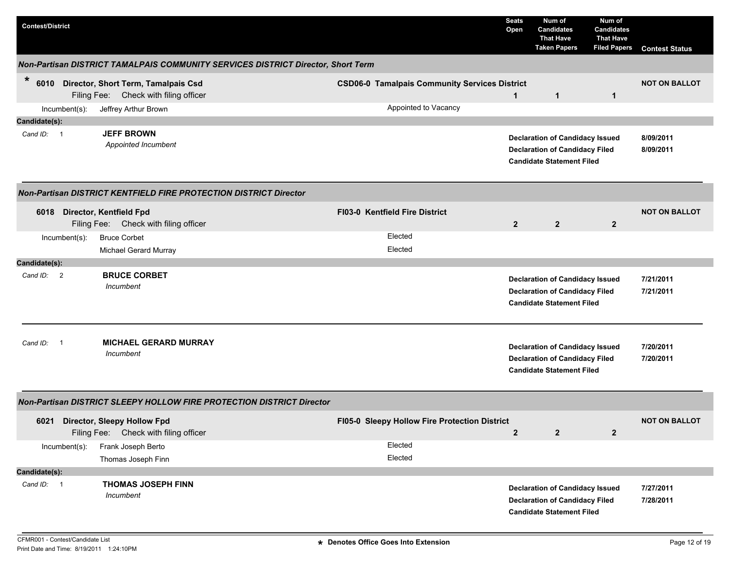| <b>Contest/District</b>      |                                                                                   |                                                                                  | <b>Seats</b><br>Open | Num of<br><b>Candidates</b><br><b>That Have</b><br><b>Taken Papers</b>                                              | Num of<br><b>Candidates</b><br><b>That Have</b><br><b>Filed Papers</b> | <b>Contest Status</b>  |  |  |  |  |
|------------------------------|-----------------------------------------------------------------------------------|----------------------------------------------------------------------------------|----------------------|---------------------------------------------------------------------------------------------------------------------|------------------------------------------------------------------------|------------------------|--|--|--|--|
|                              |                                                                                   | Non-Partisan DISTRICT TAMALPAIS COMMUNITY SERVICES DISTRICT Director, Short Term |                      |                                                                                                                     |                                                                        |                        |  |  |  |  |
| *                            | 6010 Director, Short Term, Tamalpais Csd<br>Filing Fee: Check with filing officer | <b>CSD06-0 Tamalpais Community Services District</b>                             | $\mathbf{1}$         | $\mathbf{1}$                                                                                                        | $\mathbf{1}$                                                           | <b>NOT ON BALLOT</b>   |  |  |  |  |
| Incumbent(s):                | Jeffrey Arthur Brown                                                              | Appointed to Vacancy                                                             |                      |                                                                                                                     |                                                                        |                        |  |  |  |  |
| Candidate(s):                |                                                                                   |                                                                                  |                      |                                                                                                                     |                                                                        |                        |  |  |  |  |
| Cand ID: 1                   | <b>JEFF BROWN</b><br>Appointed Incumbent                                          |                                                                                  |                      | <b>Declaration of Candidacy Issued</b><br><b>Declaration of Candidacy Filed</b><br><b>Candidate Statement Filed</b> |                                                                        | 8/09/2011<br>8/09/2011 |  |  |  |  |
|                              | <b>Non-Partisan DISTRICT KENTFIELD FIRE PROTECTION DISTRICT Director</b>          |                                                                                  |                      |                                                                                                                     |                                                                        |                        |  |  |  |  |
| 6018 Director, Kentfield Fpd | Filing Fee: Check with filing officer                                             | FI03-0 Kentfield Fire District                                                   | $\overline{2}$       | $\overline{2}$                                                                                                      | $\mathbf{2}$                                                           | <b>NOT ON BALLOT</b>   |  |  |  |  |
| Incumbent(s):                | <b>Bruce Corbet</b><br><b>Michael Gerard Murray</b>                               | Elected<br>Elected                                                               |                      |                                                                                                                     |                                                                        |                        |  |  |  |  |
| Candidate(s):                |                                                                                   |                                                                                  |                      |                                                                                                                     |                                                                        |                        |  |  |  |  |
| Cand ID: 2                   | <b>BRUCE CORBET</b><br>Incumbent                                                  |                                                                                  |                      | <b>Declaration of Candidacy Issued</b><br><b>Declaration of Candidacy Filed</b><br><b>Candidate Statement Filed</b> |                                                                        | 7/21/2011<br>7/21/2011 |  |  |  |  |
| Cand ID: 1                   | <b>MICHAEL GERARD MURRAY</b><br>Incumbent                                         |                                                                                  |                      | <b>Declaration of Candidacy Issued</b><br><b>Declaration of Candidacy Filed</b><br><b>Candidate Statement Filed</b> |                                                                        | 7/20/2011<br>7/20/2011 |  |  |  |  |
|                              | Non-Partisan DISTRICT SLEEPY HOLLOW FIRE PROTECTION DISTRICT Director             |                                                                                  |                      |                                                                                                                     |                                                                        |                        |  |  |  |  |
| 6021                         | <b>Director, Sleepy Hollow Fpd</b><br>Filing Fee: Check with filing officer       | FI05-0 Sleepy Hollow Fire Protection District                                    | $\mathbf{2}$         | $\overline{2}$                                                                                                      | $\overline{2}$                                                         | <b>NOT ON BALLOT</b>   |  |  |  |  |
| Incumbent(s):                | Frank Joseph Berto                                                                | Elected                                                                          |                      |                                                                                                                     |                                                                        |                        |  |  |  |  |
|                              | Thomas Joseph Finn                                                                | Elected                                                                          |                      |                                                                                                                     |                                                                        |                        |  |  |  |  |
| Candidate(s):                |                                                                                   |                                                                                  |                      |                                                                                                                     |                                                                        |                        |  |  |  |  |
| Cand ID: 1                   | <b>THOMAS JOSEPH FINN</b><br>Incumbent                                            |                                                                                  |                      | <b>Declaration of Candidacy Issued</b><br><b>Declaration of Candidacy Filed</b><br><b>Candidate Statement Filed</b> |                                                                        | 7/27/2011<br>7/28/2011 |  |  |  |  |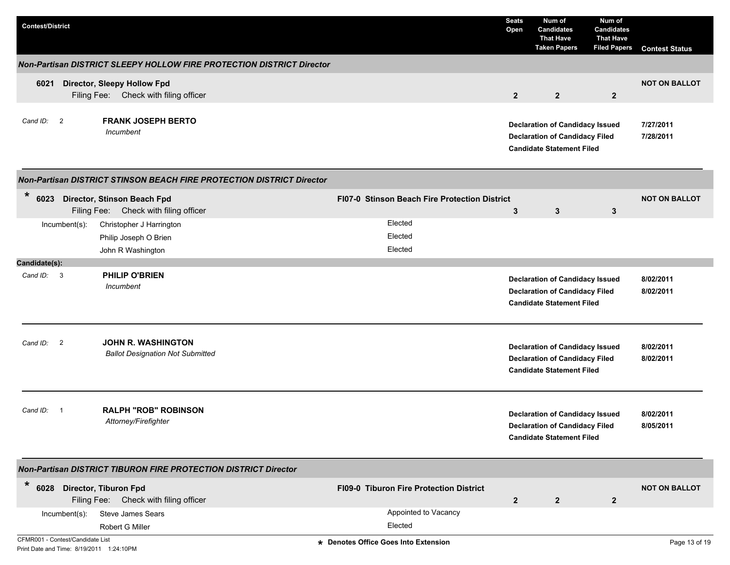| <b>Contest/District</b>                                                      |                                                                             |                                                | <b>Seats</b><br>Open | Num of<br><b>Candidates</b><br><b>That Have</b><br><b>Taken Papers</b>                                              | Num of<br><b>Candidates</b><br><b>That Have</b><br><b>Filed Papers</b> | <b>Contest Status</b>  |
|------------------------------------------------------------------------------|-----------------------------------------------------------------------------|------------------------------------------------|----------------------|---------------------------------------------------------------------------------------------------------------------|------------------------------------------------------------------------|------------------------|
|                                                                              | Non-Partisan DISTRICT SLEEPY HOLLOW FIRE PROTECTION DISTRICT Director       |                                                |                      |                                                                                                                     |                                                                        |                        |
| 6021                                                                         | <b>Director, Sleepy Hollow Fpd</b><br>Filing Fee: Check with filing officer |                                                | $\overline{2}$       | $\overline{2}$                                                                                                      | $\overline{2}$                                                         | <b>NOT ON BALLOT</b>   |
| Cand ID: 2                                                                   | <b>FRANK JOSEPH BERTO</b><br>Incumbent                                      |                                                |                      | <b>Declaration of Candidacy Issued</b><br><b>Declaration of Candidacy Filed</b><br><b>Candidate Statement Filed</b> |                                                                        | 7/27/2011<br>7/28/2011 |
|                                                                              | Non-Partisan DISTRICT STINSON BEACH FIRE PROTECTION DISTRICT Director       |                                                |                      |                                                                                                                     |                                                                        |                        |
| $\ast$<br>6023                                                               | Director, Stinson Beach Fpd<br>Filing Fee: Check with filing officer        | FI07-0 Stinson Beach Fire Protection District  | 3                    | 3                                                                                                                   | 3                                                                      | <b>NOT ON BALLOT</b>   |
| $Incumbent(s)$ :                                                             | Christopher J Harrington<br>Philip Joseph O Brien<br>John R Washington      | Elected<br>Elected<br>Elected                  |                      |                                                                                                                     |                                                                        |                        |
| Candidate(s):                                                                |                                                                             |                                                |                      |                                                                                                                     |                                                                        |                        |
| Cand ID: 3                                                                   | <b>PHILIP O'BRIEN</b><br>Incumbent                                          |                                                |                      | <b>Declaration of Candidacy Issued</b><br><b>Declaration of Candidacy Filed</b><br><b>Candidate Statement Filed</b> |                                                                        | 8/02/2011<br>8/02/2011 |
| Cand ID: 2                                                                   | <b>JOHN R. WASHINGTON</b><br><b>Ballot Designation Not Submitted</b>        |                                                |                      | <b>Declaration of Candidacy Issued</b><br><b>Declaration of Candidacy Filed</b><br><b>Candidate Statement Filed</b> |                                                                        | 8/02/2011<br>8/02/2011 |
| Cand ID:                                                                     | <b>RALPH "ROB" ROBINSON</b><br>Attorney/Firefighter                         |                                                |                      | <b>Declaration of Candidacy Issued</b><br><b>Declaration of Candidacy Filed</b><br><b>Candidate Statement Filed</b> |                                                                        | 8/02/2011<br>8/05/2011 |
|                                                                              | <b>Non-Partisan DISTRICT TIBURON FIRE PROTECTION DISTRICT Director</b>      |                                                |                      |                                                                                                                     |                                                                        |                        |
| $\ast$<br>6028 Director, Tiburon Fpd                                         | Filing Fee: Check with filing officer                                       | <b>FI09-0 Tiburon Fire Protection District</b> | $\overline{2}$       | $\overline{2}$                                                                                                      | $\overline{2}$                                                         | <b>NOT ON BALLOT</b>   |
| $Incumbent(s)$ :                                                             | Steve James Sears<br>Robert G Miller                                        | Appointed to Vacancy<br>Elected                |                      |                                                                                                                     |                                                                        |                        |
| CFMR001 - Contest/Candidate List<br>Print Date and Time: 8/19/2011 1:24:10PM |                                                                             | * Denotes Office Goes Into Extension           |                      |                                                                                                                     |                                                                        | Page 13 of 19          |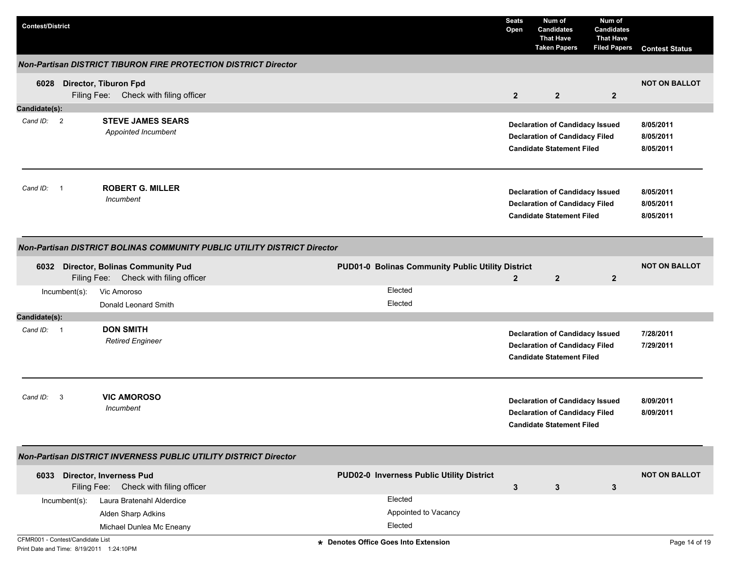| <b>Contest/District</b>          |                          |                                                                                 |                                                   | <b>Seats</b><br>Open | Num of<br><b>Candidates</b><br><b>That Have</b><br><b>Taken Papers</b>                                              | Num of<br><b>Candidates</b><br><b>That Have</b><br><b>Filed Papers</b> | <b>Contest Status</b>               |
|----------------------------------|--------------------------|---------------------------------------------------------------------------------|---------------------------------------------------|----------------------|---------------------------------------------------------------------------------------------------------------------|------------------------------------------------------------------------|-------------------------------------|
|                                  |                          | <b>Non-Partisan DISTRICT TIBURON FIRE PROTECTION DISTRICT Director</b>          |                                                   |                      |                                                                                                                     |                                                                        |                                     |
| 6028                             |                          | Director, Tiburon Fpd<br>Filing Fee: Check with filing officer                  |                                                   | $\overline{2}$       | $\overline{2}$                                                                                                      | $\overline{2}$                                                         | <b>NOT ON BALLOT</b>                |
| Candidate(s):                    |                          |                                                                                 |                                                   |                      |                                                                                                                     |                                                                        |                                     |
| Cand ID: 2                       |                          | <b>STEVE JAMES SEARS</b><br>Appointed Incumbent                                 |                                                   |                      | <b>Declaration of Candidacy Issued</b><br><b>Declaration of Candidacy Filed</b><br><b>Candidate Statement Filed</b> |                                                                        | 8/05/2011<br>8/05/2011<br>8/05/2011 |
| Cand ID:                         | $\overline{\phantom{0}}$ | <b>ROBERT G. MILLER</b><br>Incumbent                                            |                                                   |                      | <b>Declaration of Candidacy Issued</b><br><b>Declaration of Candidacy Filed</b><br><b>Candidate Statement Filed</b> |                                                                        | 8/05/2011<br>8/05/2011<br>8/05/2011 |
|                                  |                          | Non-Partisan DISTRICT BOLINAS COMMUNITY PUBLIC UTILITY DISTRICT Director        |                                                   |                      |                                                                                                                     |                                                                        |                                     |
| 6032                             |                          | <b>Director, Bolinas Community Pud</b><br>Filing Fee: Check with filing officer | PUD01-0 Bolinas Community Public Utility District | $\overline{2}$       | $\overline{2}$                                                                                                      | $\overline{2}$                                                         | <b>NOT ON BALLOT</b>                |
|                                  | Incumbent(s):            | Vic Amoroso<br>Donald Leonard Smith                                             | Elected<br>Elected                                |                      |                                                                                                                     |                                                                        |                                     |
| Candidate(s):                    |                          |                                                                                 |                                                   |                      |                                                                                                                     |                                                                        |                                     |
| Cand ID: 1                       |                          | <b>DON SMITH</b><br><b>Retired Engineer</b>                                     |                                                   |                      | <b>Declaration of Candidacy Issued</b><br><b>Declaration of Candidacy Filed</b><br><b>Candidate Statement Filed</b> |                                                                        | 7/28/2011<br>7/29/2011              |
| Cand ID:                         | 3                        | <b>VIC AMOROSO</b><br>Incumbent                                                 |                                                   |                      | <b>Declaration of Candidacy Issued</b><br><b>Declaration of Candidacy Filed</b><br><b>Candidate Statement Filed</b> |                                                                        | 8/09/2011<br>8/09/2011              |
|                                  |                          | Non-Partisan DISTRICT INVERNESS PUBLIC UTILITY DISTRICT Director                |                                                   |                      |                                                                                                                     |                                                                        |                                     |
|                                  |                          | 6033 Director, Inverness Pud<br>Filing Fee: Check with filing officer           | PUD02-0 Inverness Public Utility District         | $\mathbf{3}$         | 3                                                                                                                   | $\mathbf{3}$                                                           | <b>NOT ON BALLOT</b>                |
|                                  | Incumbent(s):            | Laura Bratenahl Alderdice                                                       | Elected                                           |                      |                                                                                                                     |                                                                        |                                     |
|                                  |                          | Alden Sharp Adkins                                                              | Appointed to Vacancy                              |                      |                                                                                                                     |                                                                        |                                     |
|                                  |                          | Michael Dunlea Mc Eneany                                                        | Elected                                           |                      |                                                                                                                     |                                                                        |                                     |
| CFMR001 - Contest/Candidate List |                          | Print Date and Time: 8/19/2011 1:24:10PM                                        | * Denotes Office Goes Into Extension              |                      |                                                                                                                     |                                                                        | Page 14 of 19                       |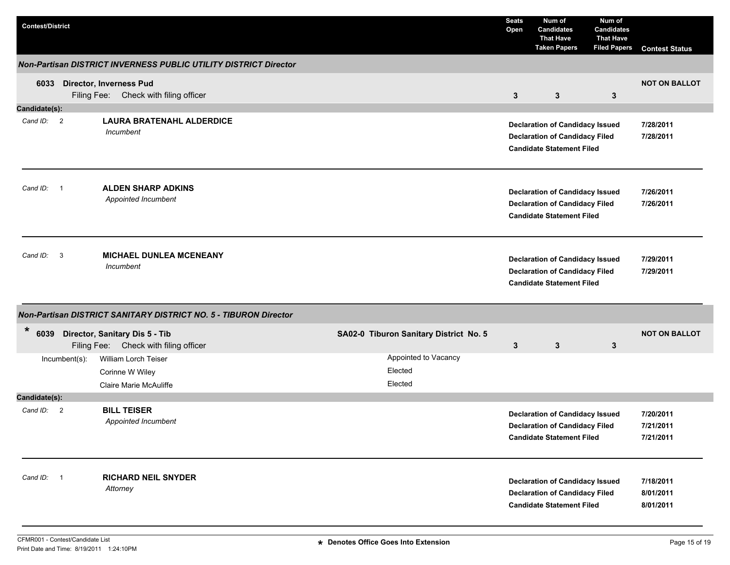| <b>Contest/District</b> |               |                                                                              |                                            | <b>Seats</b><br>Open | Num of<br><b>Candidates</b><br><b>That Have</b><br><b>Taken Papers</b>                                              | Num of<br><b>Candidates</b><br><b>That Have</b><br><b>Filed Papers</b> | <b>Contest Status</b>               |
|-------------------------|---------------|------------------------------------------------------------------------------|--------------------------------------------|----------------------|---------------------------------------------------------------------------------------------------------------------|------------------------------------------------------------------------|-------------------------------------|
|                         |               | Non-Partisan DISTRICT INVERNESS PUBLIC UTILITY DISTRICT Director             |                                            |                      |                                                                                                                     |                                                                        |                                     |
|                         |               | 6033 Director, Inverness Pud<br>Filing Fee: Check with filing officer        |                                            | $\mathbf{3}$         | $\mathbf{3}$                                                                                                        | $\mathbf{3}$                                                           | <b>NOT ON BALLOT</b>                |
| Candidate(s):           |               |                                                                              |                                            |                      |                                                                                                                     |                                                                        |                                     |
| Cand ID: 2              |               | <b>LAURA BRATENAHL ALDERDICE</b><br>Incumbent                                |                                            |                      | <b>Declaration of Candidacy Issued</b><br><b>Declaration of Candidacy Filed</b><br><b>Candidate Statement Filed</b> |                                                                        | 7/28/2011<br>7/28/2011              |
| Cand ID: 1              |               | <b>ALDEN SHARP ADKINS</b><br>Appointed Incumbent                             |                                            |                      | <b>Declaration of Candidacy Issued</b><br><b>Declaration of Candidacy Filed</b><br><b>Candidate Statement Filed</b> |                                                                        | 7/26/2011<br>7/26/2011              |
| Cand ID: 3              |               | <b>MICHAEL DUNLEA MCENEANY</b><br>Incumbent                                  |                                            |                      | <b>Declaration of Candidacy Issued</b><br><b>Declaration of Candidacy Filed</b><br><b>Candidate Statement Filed</b> |                                                                        | 7/29/2011<br>7/29/2011              |
|                         |               | Non-Partisan DISTRICT SANITARY DISTRICT NO. 5 - TIBURON Director             |                                            |                      |                                                                                                                     |                                                                        |                                     |
| *                       |               | 6039 Director, Sanitary Dis 5 - Tib<br>Filing Fee: Check with filing officer | SA02-0 Tiburon Sanitary District No. 5     | $\mathbf{3}$         | $\mathbf{3}$                                                                                                        | $\mathbf{3}$                                                           | <b>NOT ON BALLOT</b>                |
|                         | Incumbent(s): | William Lorch Teiser<br>Corinne W Wiley<br>Claire Marie McAuliffe            | Appointed to Vacancy<br>Elected<br>Elected |                      |                                                                                                                     |                                                                        |                                     |
| Candidate(s):           |               |                                                                              |                                            |                      |                                                                                                                     |                                                                        |                                     |
| Cand ID: 2              |               | <b>BILL TEISER</b><br>Appointed Incumbent                                    |                                            |                      | <b>Declaration of Candidacy Issued</b><br><b>Declaration of Candidacy Filed</b><br><b>Candidate Statement Filed</b> |                                                                        | 7/20/2011<br>7/21/2011<br>7/21/2011 |
| Cand ID: 1              |               | <b>RICHARD NEIL SNYDER</b><br>Attorney                                       |                                            |                      | <b>Declaration of Candidacy Issued</b><br><b>Declaration of Candidacy Filed</b><br><b>Candidate Statement Filed</b> |                                                                        | 7/18/2011<br>8/01/2011<br>8/01/2011 |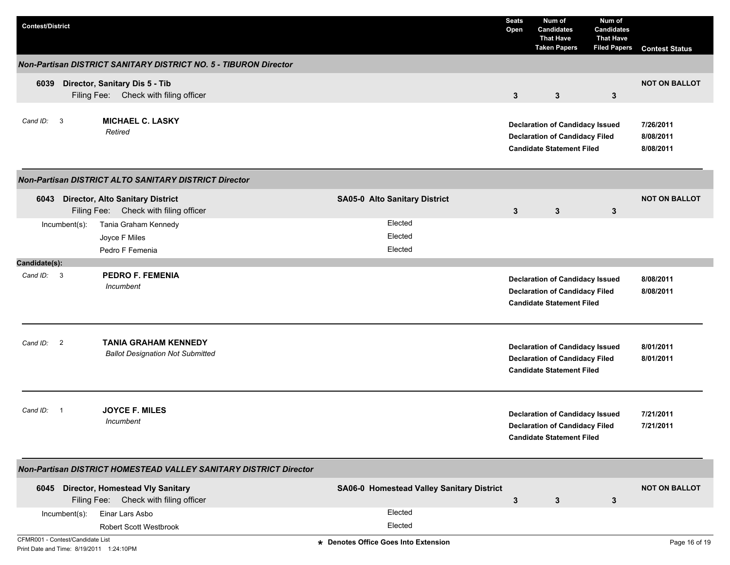| <b>Contest/District</b>                                                      |                                                                                |                                           | <b>Seats</b><br>Open                                                                                                | Num of<br><b>Candidates</b><br><b>That Have</b><br><b>Taken Papers</b>                                              | Num of<br><b>Candidates</b><br><b>That Have</b><br><b>Filed Papers</b> | <b>Contest Status</b>  |
|------------------------------------------------------------------------------|--------------------------------------------------------------------------------|-------------------------------------------|---------------------------------------------------------------------------------------------------------------------|---------------------------------------------------------------------------------------------------------------------|------------------------------------------------------------------------|------------------------|
|                                                                              | Non-Partisan DISTRICT SANITARY DISTRICT NO. 5 - TIBURON Director               |                                           |                                                                                                                     |                                                                                                                     |                                                                        |                        |
| 6039                                                                         | Director, Sanitary Dis 5 - Tib<br>Filing Fee: Check with filing officer        |                                           | $3\phantom{a}$                                                                                                      | $3\phantom{.0}$                                                                                                     | 3                                                                      | <b>NOT ON BALLOT</b>   |
| Cand ID: 3                                                                   | <b>MICHAEL C. LASKY</b><br>Retired                                             |                                           | <b>Declaration of Candidacy Issued</b><br><b>Declaration of Candidacy Filed</b><br><b>Candidate Statement Filed</b> | 7/26/2011<br>8/08/2011<br>8/08/2011                                                                                 |                                                                        |                        |
|                                                                              | <b>Non-Partisan DISTRICT ALTO SANITARY DISTRICT Director</b>                   |                                           |                                                                                                                     |                                                                                                                     |                                                                        |                        |
|                                                                              | 6043 Director, Alto Sanitary District<br>Filing Fee: Check with filing officer | SA05-0 Alto Sanitary District             | 3                                                                                                                   | 3                                                                                                                   | $\mathbf{3}$                                                           | <b>NOT ON BALLOT</b>   |
| $Incumbent(s)$ :                                                             | Tania Graham Kennedy<br>Joyce F Miles                                          | Elected<br>Elected                        |                                                                                                                     |                                                                                                                     |                                                                        |                        |
| Candidate(s):                                                                | Pedro F Femenia                                                                | Elected                                   |                                                                                                                     |                                                                                                                     |                                                                        |                        |
| Cand ID: 3                                                                   | <b>PEDRO F. FEMENIA</b><br>Incumbent                                           |                                           |                                                                                                                     | <b>Declaration of Candidacy Issued</b><br><b>Declaration of Candidacy Filed</b><br><b>Candidate Statement Filed</b> |                                                                        | 8/08/2011<br>8/08/2011 |
| $\overline{2}$<br>Cand ID:                                                   | <b>TANIA GRAHAM KENNEDY</b><br><b>Ballot Designation Not Submitted</b>         |                                           |                                                                                                                     | <b>Declaration of Candidacy Issued</b><br><b>Declaration of Candidacy Filed</b><br><b>Candidate Statement Filed</b> |                                                                        | 8/01/2011<br>8/01/2011 |
| Cand ID:                                                                     | <b>JOYCE F. MILES</b><br>Incumbent                                             |                                           |                                                                                                                     | <b>Declaration of Candidacy Issued</b><br><b>Declaration of Candidacy Filed</b><br><b>Candidate Statement Filed</b> |                                                                        | 7/21/2011<br>7/21/2011 |
|                                                                              | Non-Partisan DISTRICT HOMESTEAD VALLEY SANITARY DISTRICT Director              |                                           |                                                                                                                     |                                                                                                                     |                                                                        |                        |
|                                                                              | 6045 Director, Homestead Vly Sanitary<br>Filing Fee: Check with filing officer | SA06-0 Homestead Valley Sanitary District | $\mathbf{3}$                                                                                                        | $\mathbf{3}$                                                                                                        | 3                                                                      | <b>NOT ON BALLOT</b>   |
| $Incumbent(s)$ :                                                             | Einar Lars Asbo<br>Robert Scott Westbrook                                      | Elected<br>Elected                        |                                                                                                                     |                                                                                                                     |                                                                        |                        |
| CFMR001 - Contest/Candidate List<br>Print Date and Time: 8/19/2011 1:24:10PM |                                                                                | * Denotes Office Goes Into Extension      |                                                                                                                     |                                                                                                                     |                                                                        | Page 16 of 19          |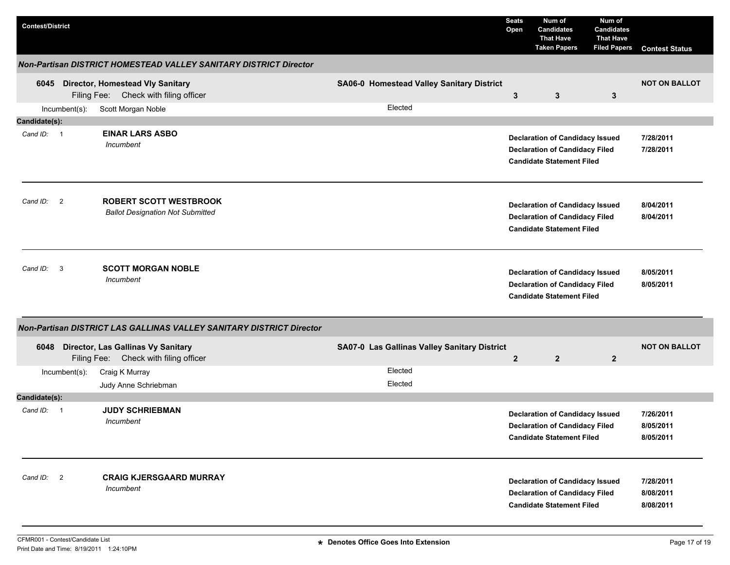| <b>Contest/District</b> |               |                                                                                  |                                              | <b>Seats</b><br>Open | Num of<br><b>Candidates</b><br><b>That Have</b><br><b>Taken Papers</b>                                              | Num of<br><b>Candidates</b><br><b>That Have</b><br><b>Filed Papers</b> | <b>Contest Status</b>               |
|-------------------------|---------------|----------------------------------------------------------------------------------|----------------------------------------------|----------------------|---------------------------------------------------------------------------------------------------------------------|------------------------------------------------------------------------|-------------------------------------|
|                         |               | Non-Partisan DISTRICT HOMESTEAD VALLEY SANITARY DISTRICT Director                |                                              |                      |                                                                                                                     |                                                                        |                                     |
| 6045                    |               | <b>Director, Homestead Vly Sanitary</b><br>Filing Fee: Check with filing officer | SA06-0 Homestead Valley Sanitary District    | $\mathbf{3}$         | 3                                                                                                                   | $\mathbf{3}$                                                           | <b>NOT ON BALLOT</b>                |
|                         | Incumbent(s): | Scott Morgan Noble                                                               | Elected                                      |                      |                                                                                                                     |                                                                        |                                     |
| Candidate(s):           |               |                                                                                  |                                              |                      |                                                                                                                     |                                                                        |                                     |
| Cand ID: 1              |               | <b>EINAR LARS ASBO</b><br>Incumbent                                              |                                              |                      | <b>Declaration of Candidacy Issued</b><br><b>Declaration of Candidacy Filed</b><br><b>Candidate Statement Filed</b> |                                                                        | 7/28/2011<br>7/28/2011              |
| Cand ID: 2              |               | <b>ROBERT SCOTT WESTBROOK</b><br><b>Ballot Designation Not Submitted</b>         |                                              |                      | <b>Declaration of Candidacy Issued</b><br><b>Declaration of Candidacy Filed</b><br><b>Candidate Statement Filed</b> |                                                                        | 8/04/2011<br>8/04/2011              |
| Cand ID: 3              |               | <b>SCOTT MORGAN NOBLE</b><br>Incumbent                                           |                                              |                      | <b>Declaration of Candidacy Issued</b><br><b>Declaration of Candidacy Filed</b><br><b>Candidate Statement Filed</b> |                                                                        | 8/05/2011<br>8/05/2011              |
|                         |               | Non-Partisan DISTRICT LAS GALLINAS VALLEY SANITARY DISTRICT Director             |                                              |                      |                                                                                                                     |                                                                        |                                     |
| 6048                    |               | Director, Las Gallinas Vy Sanitary<br>Filing Fee: Check with filing officer      | SA07-0 Las Gallinas Valley Sanitary District | $\overline{2}$       | $\overline{2}$                                                                                                      | $\mathbf{2}$                                                           | <b>NOT ON BALLOT</b>                |
|                         | Incumbent(s): | Craig K Murray                                                                   | Elected                                      |                      |                                                                                                                     |                                                                        |                                     |
|                         |               | Judy Anne Schriebman                                                             | Elected                                      |                      |                                                                                                                     |                                                                        |                                     |
| Candidate(s):           |               |                                                                                  |                                              |                      |                                                                                                                     |                                                                        |                                     |
| Cand ID: 1              |               | <b>JUDY SCHRIEBMAN</b><br>Incumbent                                              |                                              |                      | <b>Declaration of Candidacy Issued</b><br><b>Declaration of Candidacy Filed</b><br><b>Candidate Statement Filed</b> |                                                                        | 7/26/2011<br>8/05/2011<br>8/05/2011 |
| Cand ID: 2              |               | <b>CRAIG KJERSGAARD MURRAY</b><br><b>Incumbent</b>                               |                                              |                      | <b>Declaration of Candidacy Issued</b><br><b>Declaration of Candidacy Filed</b><br><b>Candidate Statement Filed</b> |                                                                        | 7/28/2011<br>8/08/2011<br>8/08/2011 |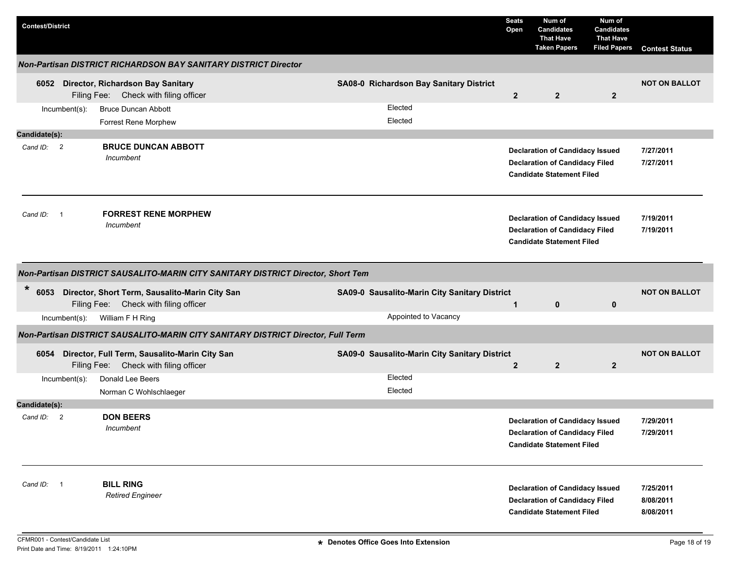| <b>Contest/District</b>                |               |                                                                                         |                                               | <b>Seats</b><br>Open | Num of<br><b>Candidates</b><br><b>That Have</b><br><b>Taken Papers</b>                                              | Num of<br><b>Candidates</b><br><b>That Have</b><br><b>Filed Papers</b> | <b>Contest Status</b>               |
|----------------------------------------|---------------|-----------------------------------------------------------------------------------------|-----------------------------------------------|----------------------|---------------------------------------------------------------------------------------------------------------------|------------------------------------------------------------------------|-------------------------------------|
|                                        |               | <b>Non-Partisan DISTRICT RICHARDSON BAY SANITARY DISTRICT Director</b>                  |                                               |                      |                                                                                                                     |                                                                        |                                     |
|                                        |               | 6052 Director, Richardson Bay Sanitary<br>Filing Fee: Check with filing officer         | SA08-0 Richardson Bay Sanitary District       | $\mathbf{2}$         | $\overline{2}$                                                                                                      | $\overline{2}$                                                         | <b>NOT ON BALLOT</b>                |
|                                        | Incumbent(s): | <b>Bruce Duncan Abbott</b>                                                              | Elected                                       |                      |                                                                                                                     |                                                                        |                                     |
|                                        |               | Forrest Rene Morphew                                                                    | Elected                                       |                      |                                                                                                                     |                                                                        |                                     |
| Candidate(s):                          |               |                                                                                         |                                               |                      |                                                                                                                     |                                                                        |                                     |
| Cand ID: 2                             |               | <b>BRUCE DUNCAN ABBOTT</b><br>Incumbent                                                 |                                               |                      | <b>Declaration of Candidacy Issued</b><br><b>Declaration of Candidacy Filed</b><br><b>Candidate Statement Filed</b> |                                                                        | 7/27/2011<br>7/27/2011              |
| Cand ID:<br>$\overline{\phantom{0}}$ 1 |               | <b>FORREST RENE MORPHEW</b><br>Incumbent                                                |                                               |                      | <b>Declaration of Candidacy Issued</b><br><b>Declaration of Candidacy Filed</b><br><b>Candidate Statement Filed</b> |                                                                        | 7/19/2011<br>7/19/2011              |
|                                        |               | Non-Partisan DISTRICT SAUSALITO-MARIN CITY SANITARY DISTRICT Director, Short Tem        |                                               |                      |                                                                                                                     |                                                                        |                                     |
| *<br>6053                              |               | Director, Short Term, Sausalito-Marin City San<br>Filing Fee: Check with filing officer | SA09-0 Sausalito-Marin City Sanitary District | $\mathbf 1$          | $\mathbf 0$                                                                                                         | $\mathbf 0$                                                            | <b>NOT ON BALLOT</b>                |
|                                        | Incumbent(s): | William F H Ring                                                                        | Appointed to Vacancy                          |                      |                                                                                                                     |                                                                        |                                     |
|                                        |               | Non-Partisan DISTRICT SAUSALITO-MARIN CITY SANITARY DISTRICT Director, Full Term        |                                               |                      |                                                                                                                     |                                                                        |                                     |
| 6054                                   |               | Director, Full Term, Sausalito-Marin City San<br>Filing Fee: Check with filing officer  | SA09-0 Sausalito-Marin City Sanitary District | $\mathbf{2}$         | $\overline{2}$                                                                                                      | $\overline{2}$                                                         | <b>NOT ON BALLOT</b>                |
|                                        | Incumbent(s): | Donald Lee Beers<br>Norman C Wohlschlaeger                                              | Elected<br>Elected                            |                      |                                                                                                                     |                                                                        |                                     |
| Candidate(s):                          |               |                                                                                         |                                               |                      |                                                                                                                     |                                                                        |                                     |
| Cand ID: 2                             |               | <b>DON BEERS</b><br>Incumbent                                                           |                                               |                      | <b>Declaration of Candidacy Issued</b><br><b>Declaration of Candidacy Filed</b><br><b>Candidate Statement Filed</b> |                                                                        | 7/29/2011<br>7/29/2011              |
| Cand ID: 1                             |               | <b>BILL RING</b><br><b>Retired Engineer</b>                                             |                                               |                      | <b>Declaration of Candidacy Issued</b><br><b>Declaration of Candidacy Filed</b><br><b>Candidate Statement Filed</b> |                                                                        | 7/25/2011<br>8/08/2011<br>8/08/2011 |